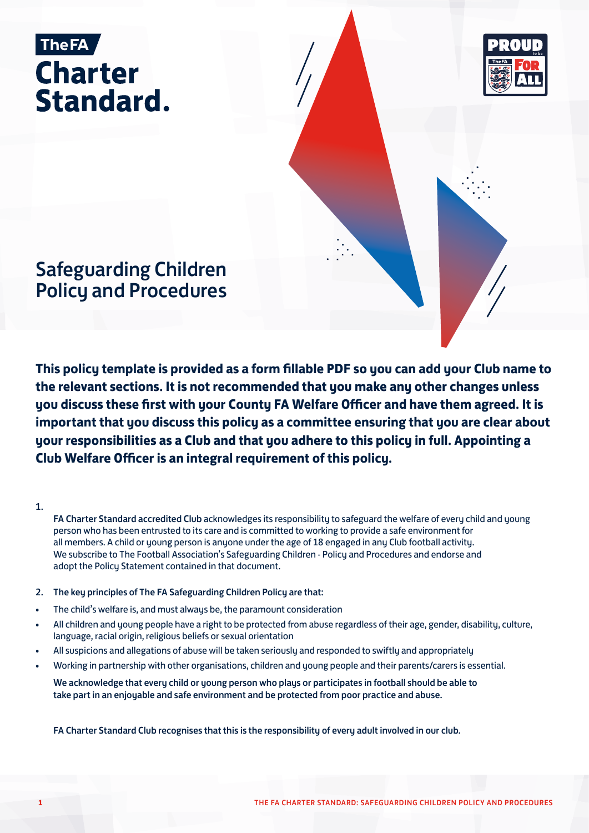



# Safeguarding Children Policy and Procedures

**This policy template is provided as a form fillable PDF so you can add your Club name to the relevant sections. It is not recommended that you make any other changes unless you discuss these first with your County FA Welfare Officer and have them agreed. It is important that you discuss this policy as a committee ensuring that you are clear about your responsibilities as a Club and that you adhere to this policy in full. Appointing a Club Welfare Officer is an integral requirement of this policy.**

1.

FA Charter Standard accredited Club acknowledges its responsibility to safeguard the welfare of every child and young person who has been entrusted to its care and is committed to working to provide a safe environment for all members. A child or young person is anyone under the age of 18 engaged in any Club football activity. We subscribe to The Football Association's Safeguarding Children - Policy and Procedures and endorse and adopt the Policy Statement contained in that document.

- 2. The key principles of The FA Safeguarding Children Policy are that:
- The child's welfare is, and must always be, the paramount consideration
- All children and young people have a right to be protected from abuse regardless of their age, gender, disability, culture, language, racial origin, religious beliefs or sexual orientation
- All suspicions and allegations of abuse will be taken seriously and responded to swiftly and appropriately
- Working in partnership with other organisations, children and young people and their parents/carers is essential.

We acknowledge that every child or young person who plays or participates in football should be able to take part in an enjoyable and safe environment and be protected from poor practice and abuse.

FA Charter Standard Club recognises that this is the responsibility of every adult involved in our club.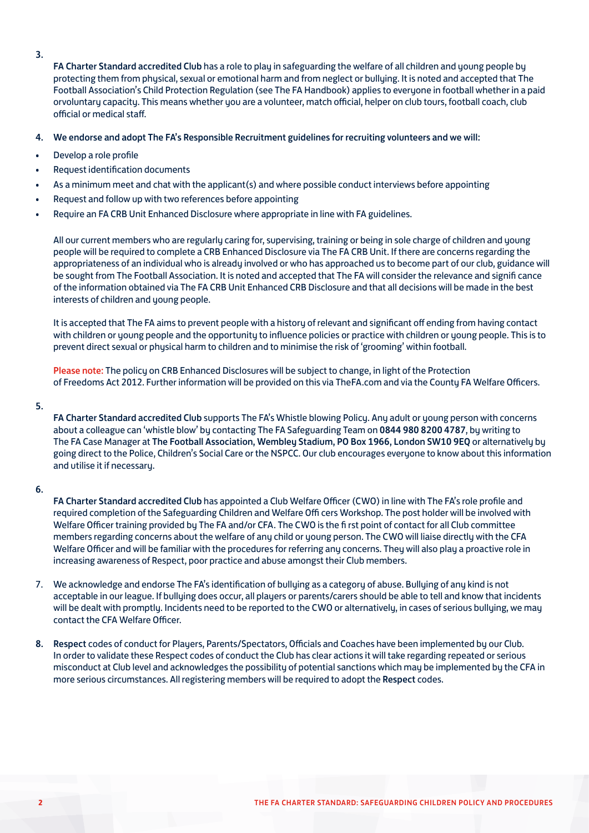- 3.
- FA Charter Standard accredited Club has a role to play in safeguarding the welfare of all children and young people by protecting them from physical, sexual or emotional harm and from neglect or bullying. It is noted and accepted that The Football Association's Child Protection Regulation (see The FA Handbook) applies to everyone in football whether in a paid orvoluntary capacity. This means whether you are a volunteer, match official, helper on club tours, football coach, club official or medical staff.

### 4. We endorse and adopt The FA's Responsible Recruitment guidelines for recruiting volunteers and we will:

- Develop a role profile
- Request identification documents
- As a minimum meet and chat with the applicant(s) and where possible conduct interviews before appointing
- Request and follow up with two references before appointing
- Require an FA CRB Unit Enhanced Disclosure where appropriate in line with FA guidelines.

All our current members who are regularly caring for, supervising, training or being in sole charge of children and young people will be required to complete a CRB Enhanced Disclosure via The FA CRB Unit. If there are concerns regarding the appropriateness of an individual who is already involved or who has approached us to become part of our club, guidance will be sought from The Football Association. It is noted and accepted that The FA will consider the relevance and signifi cance of the information obtained via The FA CRB Unit Enhanced CRB Disclosure and that all decisions will be made in the best interests of children and young people.

It is accepted that The FA aims to prevent people with a history of relevant and significant off ending from having contact with children or young people and the opportunity to influence policies or practice with children or young people. This is to prevent direct sexual or physical harm to children and to minimise the risk of 'grooming' within football.

Please note: The policy on CRB Enhanced Disclosures will be subject to change, in light of the Protection of Freedoms Act 2012. Further information will be provided on this via TheFA.com and via the County FA Welfare Officers.

#### 5.

FA Charter Standard accredited Club supports The FA's Whistle blowing Policy. Any adult or young person with concerns about a colleague can 'whistle blow' by contacting The FA Safeguarding Team on 0844 980 8200 4787, by writing to The FA Case Manager at The Football Association, Wembley Stadium, PO Box 1966, London SW10 9EQ or alternatively by going direct to the Police, Children's Social Care or the NSPCC. Our club encourages everyone to know about this information and utilise it if necessary.

#### 6.

FA Charter Standard accredited Club has appointed a Club Welfare Officer (CWO) in line with The FA's role profile and required completion of the Safeguarding Children and Welfare Offi cers Workshop. The post holder will be involved with Welfare Officer training provided by The FA and/or CFA. The CWO is the fi rst point of contact for all Club committee members regarding concerns about the welfare of any child or young person. The CWO will liaise directly with the CFA Welfare Officer and will be familiar with the procedures for referring any concerns. They will also play a proactive role in increasing awareness of Respect, poor practice and abuse amongst their Club members.

- 7. We acknowledge and endorse The FA's identification of bullying as a category of abuse. Bullying of any kind is not acceptable in our league. If bullying does occur, all players or parents/carers should be able to tell and know that incidents will be dealt with promptly. Incidents need to be reported to the CWO or alternatively, in cases of serious bullying, we may contact the CFA Welfare Officer.
- 8. Respect codes of conduct for Players, Parents/Spectators, Officials and Coaches have been implemented by our Club. In order to validate these Respect codes of conduct the Club has clear actions it will take regarding repeated or serious misconduct at Club level and acknowledges the possibility of potential sanctions which may be implemented by the CFA in more serious circumstances. All registering members will be required to adopt the Respect codes.